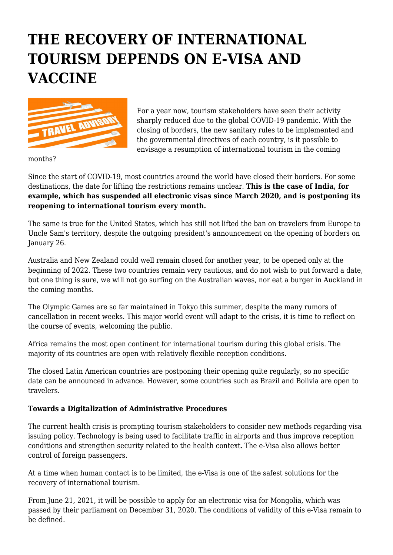## **THE RECOVERY OF INTERNATIONAL TOURISM DEPENDS ON E-VISA AND VACCINE**



For a year now, tourism stakeholders have seen their activity sharply reduced due to the global COVID-19 pandemic. With the closing of borders, the new sanitary rules to be implemented and the governmental directives of each country, is it possible to envisage a resumption of international tourism in the coming

months?

Since the start of COVID-19, most countries around the world have closed their borders. For some destinations, the date for lifting the restrictions remains unclear. **This is the case of India, for example, which has suspended all electronic visas since March 2020, and is postponing its reopening to international tourism every month.**

The same is true for the United States, which has still not lifted the ban on travelers from Europe to Uncle Sam's territory, despite the outgoing president's announcement on the opening of borders on January 26.

Australia and New Zealand could well remain closed for another year, to be opened only at the beginning of 2022. These two countries remain very cautious, and do not wish to put forward a date, but one thing is sure, we will not go surfing on the Australian waves, nor eat a burger in Auckland in the coming months.

The Olympic Games are so far maintained in Tokyo this summer, despite the many rumors of cancellation in recent weeks. This major world event will adapt to the crisis, it is time to reflect on the course of events, welcoming the public.

Africa remains the most open continent for international tourism during this global crisis. The majority of its countries are open with relatively flexible reception conditions.

The closed Latin American countries are postponing their opening quite regularly, so no specific date can be announced in advance. However, some countries such as Brazil and Bolivia are open to travelers.

## **Towards a Digitalization of Administrative Procedures**

The current health crisis is prompting tourism stakeholders to consider new methods regarding visa issuing policy. Technology is being used to facilitate traffic in airports and thus improve reception conditions and strengthen security related to the health context. The e-Visa also allows better control of foreign passengers.

At a time when human contact is to be limited, the e-Visa is one of the safest solutions for the recovery of international tourism.

From June 21, 2021, it will be possible to apply for an electronic visa for Mongolia, which was passed by their parliament on December 31, 2020. The conditions of validity of this e-Visa remain to be defined.